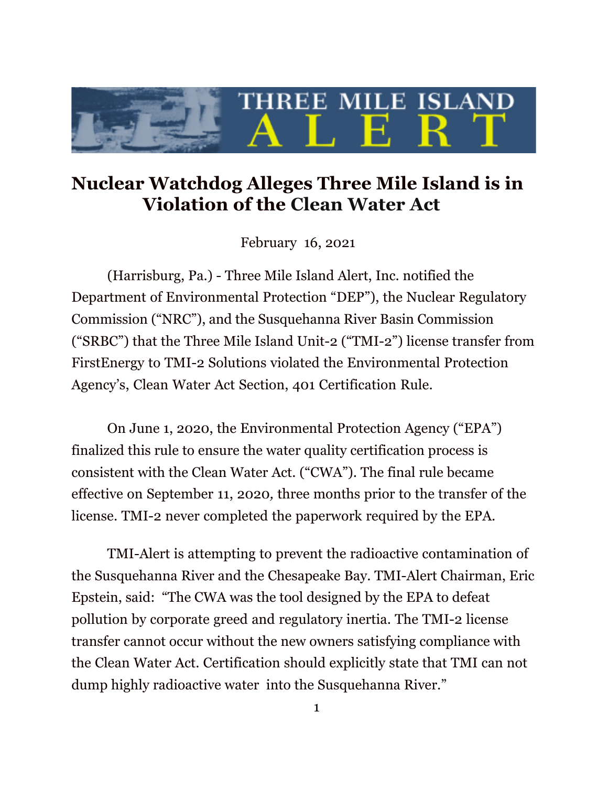

## **Nuclear Watchdog Alleges Three Mile Island is in Violation of the Clean Water Act**

February 16, 2021

(Harrisburg, Pa.) - Three Mile Island Alert, Inc. notified the Department of Environmental Protection "DEP"), the Nuclear Regulatory Commission ("NRC"), and the Susquehanna River Basin Commission ("SRBC") that the Three Mile Island Unit-2 ("TMI-2") license transfer from FirstEnergy to TMI-2 Solutions violated the Environmental Protection Agency's, Clean Water Act Section, 401 Certification Rule.

On June 1, 2020, the Environmental Protection Agency ("EPA") finalized this rule to ensure the water quality certification process is consistent with the Clean Water Act. ("CWA"). The final rule became effective on September 11, 2020*,* three months prior to the transfer of the license. TMI-2 never completed the paperwork required by the EPA.

TMI-Alert is attempting to prevent the radioactive contamination of the Susquehanna River and the Chesapeake Bay. TMI-Alert Chairman, Eric Epstein, said: "The CWA was the tool designed by the EPA to defeat pollution by corporate greed and regulatory inertia. The TMI-2 license transfer cannot occur without the new owners satisfying compliance with the Clean Water Act. Certification should explicitly state that TMI can not dump highly radioactive water into the Susquehanna River."